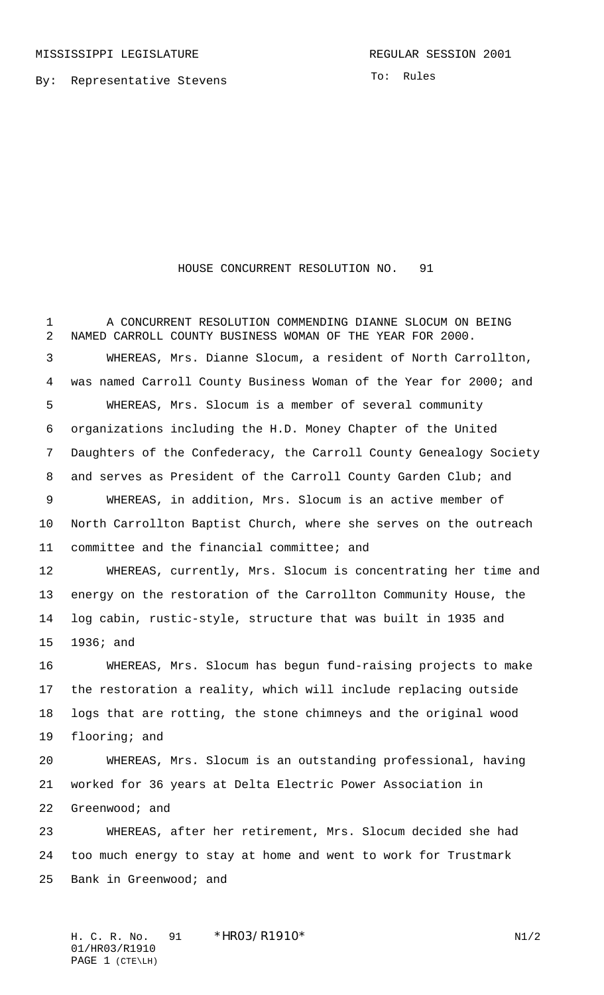By: Representative Stevens

To: Rules

## HOUSE CONCURRENT RESOLUTION NO. 91

 A CONCURRENT RESOLUTION COMMENDING DIANNE SLOCUM ON BEING NAMED CARROLL COUNTY BUSINESS WOMAN OF THE YEAR FOR 2000. WHEREAS, Mrs. Dianne Slocum, a resident of North Carrollton, was named Carroll County Business Woman of the Year for 2000; and WHEREAS, Mrs. Slocum is a member of several community organizations including the H.D. Money Chapter of the United Daughters of the Confederacy, the Carroll County Genealogy Society and serves as President of the Carroll County Garden Club; and WHEREAS, in addition, Mrs. Slocum is an active member of North Carrollton Baptist Church, where she serves on the outreach committee and the financial committee; and WHEREAS, currently, Mrs. Slocum is concentrating her time and energy on the restoration of the Carrollton Community House, the log cabin, rustic-style, structure that was built in 1935 and 1936; and WHEREAS, Mrs. Slocum has begun fund-raising projects to make the restoration a reality, which will include replacing outside logs that are rotting, the stone chimneys and the original wood flooring; and WHEREAS, Mrs. Slocum is an outstanding professional, having worked for 36 years at Delta Electric Power Association in Greenwood; and WHEREAS, after her retirement, Mrs. Slocum decided she had

 too much energy to stay at home and went to work for Trustmark Bank in Greenwood; and